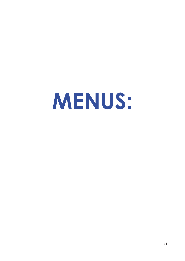# **MENUS:**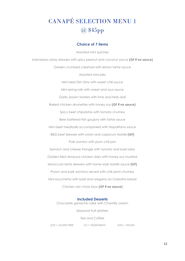# CANAPÉ SELECTION MENU 1 @ \$45pp

### **Choice of 7 items**

Assorted mini quiches Indonesian satay skewers with spicy peanut and coconut sauce **(GF if no sauce)** Golden crumbed calamari with lemon tartar sauce Assorted mini pies Mini beef Dim Sims with sweet chili sauce Mini spring rolls with sweet and sour sauce Garlic prawn twisters with lime and herb aioli Baked chicken drumettes with honey soy **(GF if no sauce)** Spicy beef chipolatas with tomato chutney Beer battered Fish goujons with tartar sauce Mini beef meatballs accompanied with Napolitana sauce BBQ beef skewers with onion and capsicum tzatziki **(GF)** Pork wonton with plum chili jam Spinach and cheese triangle with tomato and basil salsa Golden fried tempura chicken strips with honey soy mustard Moroccan lamb skewers with home-style tzatziki sauce **(GF)** Prawn and pork wontons served with chili plum chutney Mini bruschetta with basil and oregano on Ciabatta bread Chicken san chow bow **(GF if no sauce)**

### **Included Desserts**

Chocolate ganache cake with Chantilly cream

Seasonal fruit platters

Tea and Coffee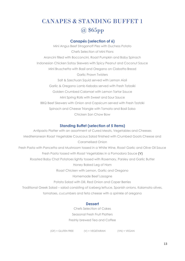# CANAPES & STANDING BUFFET 1 @ \$65pp

### **Canapés (selection of 6)**

Mini Angus Beef Stroganoff Pies with Duchess Potato Chefs Selection of Mini Flans Arancini filled with Bocconcini, Roast Pumpkin and Baby Spinach Indonesian Chicken Satay Skewers with Spicy Peanut and Coconut Sauce Mini Bruschetta with Basil and Oregano on Ciabatta Bread Garlic Prawn Twisters Salt & Szechuan Squid served with Lemon Aioli Garlic & Oregano Lamb Kebabs served with Fresh Tatzaiki Golden Crumbed Calamari with Lemon Tartar Sauce Mini Spring Rolls with Sweet and Sour Sauce BBQ Beef Skewers with Onion and Capsicum served with Fresh Tzatziki Spinach and Cheese Triangle with Tomato and Basil Salsa Chicken San Chow Bow

### **Standing Buffet (selection of 5 items)**

Antipasto Platter with an assortment of Cured Meats, Vegetables and Cheeses Mediterranean Roast Vegetable Couscous Salad finished with Crumbed Goats Cheese and Caramelised Onion Fresh Pasta with Pancetta and Mushroom tossed in a White Wine, Roast Garlic and Olive Oil Sauce Fresh Pasta tossed with Roast Vegetables in a Pomodoro Sauce **(V)** Roasted Baby Chat Potatoes lightly tossed with Rosemary, Parsley and Garlic Butter Honey Baked Leg of Ham Roast Chicken with Lemon, Garlic and Oregano Homemade Beef Lasagne Potato Salad with Dill, Red Onion and Caper Berries Traditional Greek Salad – salad consisting of iceberg lettuce, Spanish onions, Kalamata olives, tomatoes, cucumbers and feta cheese with a sprinkle of oregano

#### **Dessert**

Chefs Selection of Cakes Seasonal Fresh Fruit Platters Freshly brewed Tea and Coffee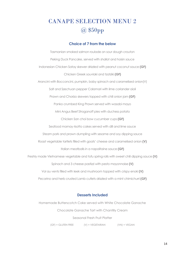# CANAPE SELECTION MENU 2 @ \$50pp

### **Choice of 7 from the below**

Tasmanian smoked salmon roulade on sour dough crouton Peking Duck Pancake, served with shallot and hoisin sauce Indonesian Chicken Satay skewer drizzled with peanut coconut sauce **(GF)** Chicken Greek souvlaki and tzatziki **(GF)** Arancini with Bocconcini, pumpkin, baby spinach and caramelised onion(V) Salt and Szechuan pepper Calamari with lime coriander aioli Prawn and Chorizo skewers topped with chili onion jam **(GF)**  Panko crumbed King Prawn served with wasabi mayo Mini Angus Beef Stroganoff pies with duchess potato Chicken San choi bow cucumber cups **(GF)** Seafood mornay risotto cakes served with dill and lime sauce Steam pork and prawn dumpling with sesame and soy dipping sauce Roast vegetable tartlets filled with goats' cheese and caramelised onion **(V)** Italian meatballs in a napolitaine sauce **(GF)** Freshly made Vietnamese vegetable and tofu spring rolls with sweet chili dipping sauce **(V)** Spinach and 3 cheese pastizzi with pesto mayonnaise **(V)** Vol au vents filled with leek and mushroom topped with crispy enoki **(V)** Pecorino and herb crusted Lamb cutlets drizzled with a mint chimichurri **(GF)** 

### **Desserts Included**

Homemade Butterscotch Cake served with White Chocolate Ganache Chocolate Ganache Tart with Chantilly Cream Seasonal Fresh Fruit Platter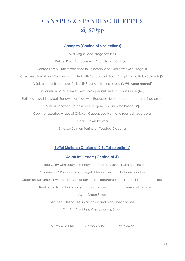# CANAPES & STANDING BUFFET 2 @ \$70pp

### **Canapes (Choice of 6 selections)**

Mini Angus Beef Stroganoff Pies Peking Duck Pancake with Shallots and Chilli Jam Seared Lamb Cutlets seasoned in Rosemary and Garlic with Mint Yoghurt Chef selection of Mini Flans Arancini filled with Bocconcini, Roast Pumpkin and Baby Spinach **(V)** A Selection of Rice paper Rolls with Sesame dipping sauce **(V/VN upon request)** Indonesian Satay skewers with spicy peanut and coconut sauce **(GF)** Petite Wagyu Fillet Steak Sandwiches filled with Roquette, brie cheese and caramelised onion Mini Bruschetta with basil and oregano on Ciabatta bread **(V)** Gourmet assorted wraps of Chicken Caesar, Leg Ham and roasted vegetables Garlic Prawn Twisters Smoked Salmon Terrine on Toasted Ciabatta

### **Buffet Stations (Choice of 2 Buffet selections)**

### **Asian Influence (Choice of 4)**

Thai Red Curry with baby bok choy, bean sprouts served with jasmine rice Chinese BBQ Pork and Asian vegetables stir fried with Hokkien noodles Steamed Barramundi with an infusion of coriander, lemongrass and lime chilli on banana leaf Thai Beef Salad tossed with baby corn, cucumber, carrot and vermicelli noodles Asian Green Salad Stir Fried Fillet of Beef in an onion and black bean sauce Thai Seafood Rice Crispy Noodle Salad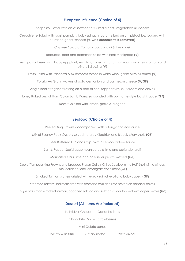### **European Influence (Choice of 4)**

Antipasto Platter with an Assortment of Cured Meats, Vegetables &Cheeses

Orecchiette Salad with roast pumpkin, baby spinach, caramelised onion, pistachios, topped with crumbed goats 'cheese **(V/GF if orecchiette is removed)**

Caprese Salad of Tomato, bocconcini & fresh basil

Roquette, pear and parmesan salad with herb vinaigrette **(V)**

Fresh pasta tossed with baby eggplant, zucchini, capsicum and mushrooms in a fresh tomato and olive oil dressing **(V)**

Fresh Pasta with Pancetta & Mushrooms tossed in white wine, garlic olive oil sauce **(V)**

Potato Au Gratin –layers of potatoes, onion and parmesan cheese **(V/GF)**

Angus Beef Stroganoff resting on a bed of rice, topped with sour cream and chives

Honey Baked Leg of Ham Cajun Lamb Rump surrounded with our home-style tzatziki sauce **(GF)**

Roast Chicken with lemon, garlic & oregano

### **Seafood (Choice of 4)**

Peeled King Prawns accompanied with a tangy cocktail sauce

Mix of Sydney Rock Oysters served natural, Kilpatrick and Bloody Mary shots **(GF)**

Beer Battered Fish and Chips with a Lemon Tartare sauce

Salt & Pepper Squid accompanied by a lime and coriander aioli

Marinated Chilli, lime and coriander prawn skewers **(GF)**

Duo of Tempura King Prawns and breaded Prawn Cutlets Grilled Scallop in the Half Shell with a ginger, lime, coriander and lemongrass condiment **(GF)**

Smoked Salmon platters drizzled with extra virgin olive oil and baby capers **(GF)**

Steamed Barramundi marinated with aromatic chilli and lime served on banana leaves

Triage of Salmon –smoked salmon, poached salmon and salmon caviar topped with caper berries **(GF)**

### **Dessert (All Items Are included)**

Individual Chocolate Ganache Tarts

Chocolate Dipped Strawberries

Mini Gelato cones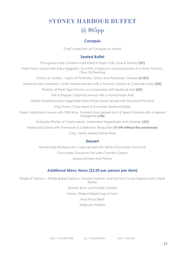# SYDNEY HARBOUR BUFFET @ \$65pp

### **Canapés**

Chef's selection of Canapes on arrival

### **Seated Buffet**

Portuguese Style Chicken marinated in Fresh Chilli, Lime & Parsley **(GF)**

Fresh Pasta tossed with Baby Eggplant, Zucchini, Capsicum and Mushrooms in a Fresh Tomato, Olive Oil Dressing

Potato Au Gratin – layers of Potatoes, Onion and Parmesan Cheese **(V/GF)** 

Steamed New Zealand ½ Shelf Mussels served with a Tomato, Lemon & Coriander Salsa **(GF)**

Platters of Fresh Tiger Prawns accompanied with Seafood Aioli **(GF)**

Salt & Pepper Calamari served with a Homemade Aioli

Grilled Mediterranean Vegetable Pesto Pasta Salad served with Roasted Pine Nuts

King Prawn, Crab Meat & Avocado Seafood Salad

Green Salad Bowl tossed with Wild Rice, Toasted Soya glazed Nuts & Seeds finished with a herbed Vinaigrette **(VN)**

Antipasto Platter of Cured Meats, Marinated Vegetables and Cheeses **(GF)**

Mixed Leaf Salad with Parmesan & a Balsamic Reduction **(V/VN without the parmesan)** Crisp, freshly baked Dinner Rolls

### **Dessert**

Homemade Butterscotch Cake served with White Chocolate Ganache Chocolate Ganache Tart with Chantilly Cream Seasonal Fresh Fruit Platter

### *Additional Menu Items (\$5.00 per person per item)*

Triage of Salmon – Whole Baked Salmon, Smoked Salmon and Salmon Caviar topped with Caper Berries

Sydney Rock and Pacific Oysters

Honey Glazed Baked Leg of Ham

Rare Roast Beef

Antipasto Platters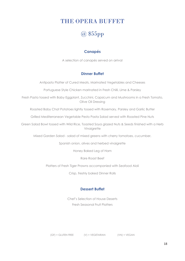### THE OPERA BUFFET

## @ \$55pp

### **Canapés**

A selection of canapés served on arrival

### **Dinner Buffet**

Antipasto Platter of Cured Meats, Marinated Vegetables and Cheeses

Portuguese Style Chicken marinated in Fresh Chilli, Lime & Parsley

Fresh Pasta tossed with Baby Eggplant, Zucchini, Capsicum and Mushrooms in a Fresh Tomato, Olive Oil Dressing

Roasted Baby Chat Potatoes lightly tossed with Rosemary, Parsley and Garlic Butter

Grilled Mediterranean Vegetable Pesto Pasta Salad served with Roasted Pine Nuts

Green Salad Bowl tossed with Wild Rice, Toasted Soya glazed Nuts & Seeds finished with a Herb Vinaigrette

Mixed Garden Salad - salad of mixed greens with cherry tomatoes, cucumber,

Spanish onion, olives and herbed vinaigrette

Honey Baked Leg of Ham

Rare Roast Beef

Platters of Fresh Tiger Prawns accompanied with Seafood Aioli

Crisp, freshly baked Dinner Rolls

### **Dessert Buffet**

Chef's Selection of House Deserts Fresh Seasonal Fruit Platters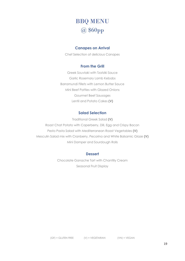# BBQ MENU @ \$60pp

### **Canapes on Arrival**

Chef Selection of delicious Canapes

#### **From the Grill**

Greek Souvlaki with Tzatziki Sauce Garlic Rosemary Lamb Kebabs Barramundi Fillets with Lemon Butter Sauce Mini Beef Patties with Glazed Onions Gourmet Beef Sausages Lentil and Potato Cakes **(V)**

### **Salad Selection**

Traditional Greek Salad **(V)** Roast Chat Potato with Caperberry, Dill, Egg and Crispy Bacon Pesto Pasta Salad with Mediterranean Roast Vegetables **(V)** Mesculin Salad mix with Cranberry, Pecorino and White Balsamic Glaze **(V)** Mini Damper and Sourdough Rolls

#### **Dessert**

Chocolate Ganache Tart with Chantilly Cream Seasonal Fruit Display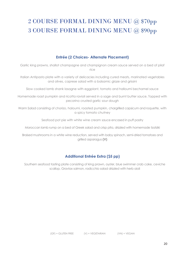# 2 COURSE FORMAL DINING MENU @ \$70pp 3 COURSE FORMAL DINING MENU @ \$90pp

### **Entrée (2 Choices- Alternate Placement)**

Garlic king prawns, shallot champagne and champignon cream sauce served on a bed of pilaf rice

Italian Antipasto plate with a variety of delicacies including cured meats, marinated vegetables and olives, caprese salad with a balsamic glaze and grissini

Slow cooked lamb shank lasagne with eggplant, tomato and halloumi bechamel sauce

Homemade roast pumpkin and ricotta ravioli served in a sage and burnt butter sauce. Topped with pecorino crusted garlic sour dough

Warm Salad consisting of chorizo, haloumi, roasted pumpkin, chargrilled capsicum and roquette, with a spicy tomato chutney

Seafood pot pie with white wine cream sauce encased in puff pastry

Moroccan lamb rump on a bed of Greek salad and crisp pita, drizzled with homemade tzatziki

Braised mushrooms in a white wine reduction, served with baby spinach, semi-dried tomatoes and grilled asparagus **(V)**

### **Additional Entrée Extra (\$5 pp)**

Southern seafood tasting plate consisting of king prawn, oyster, blue swimmer crab cake, ceviche scallop, Gravlax salmon, radicchio salad drizzled with herb aioli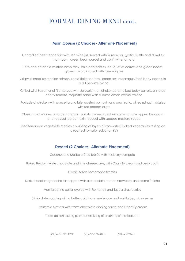### FORMAL DINING MENU cont.

### **Main Course (2 Choices- Alternate Placement)**

Chargrilled beef tenderloin with red wine jus, served with kumara au gratin, truffle and duxelles mushroom, green bean parcel and confit vine tomato,

Herb and pistachio crusted lamb rack, chic pea patties, bouquet of carrots and green beans, glazed onion, infused with rosemary jus

Crispy skinned Tasmanian salmon, roast kipfler potato, lemon zest asparagus, fried baby capers in a dill beaurre blanc.

Grilled wild Barramundi fillet served with Jerusalem artichoke, caramelised baby carrots, blistered cherry tomato, roquette salad with a burnt lemon creme fraiche

Roulade of chicken with pancetta and brie, roasted pumpkin and pea risotto, wilted spinach, drizzled with red pepper sauce

Classic chicken Kiev on a bed of garlic potato puree, sided with prosciutto wrapped broccolini and roasted jap pumpkin topped with seeded mustard sauce

Mediterranean vegetable medley consisting of layers of marinated baked vegetables resting on a roasted tomato reduction **(V)**

### **Dessert (2 Choices- Alternate Placement)**

Coconut and Malibu crème brûlée with mix berry compote

Baked Belgium white chocolate and lime cheesecake, with Chantilly cream and berry coulis

#### Classic Italian homemade tiramisu

Dark chocolate ganache tart topped with a chocolate coated strawberry and creme fraiche

Vanilla panna cotta layered with Romanoff and liqueur strawberries

Sticky date pudding with a butterscotch caramel sauce and vanilla bean ice cream

Profiterole skewers with warm chocolate dipping sauce and Chantilly cream

Table dessert tasting platters consisting of a variety of the featured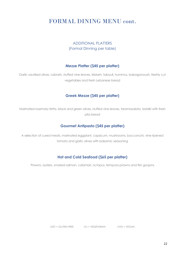### FORMAL DINING MENU cont.

### ADDITIONAL PLATTERS (Formal Dinning per table)

### **Mezze Platter (\$45 per platter)**

Garlic sautéed olives, Labneh, stuffed vine leaves, kibbeh, tabouli, hummus, babaganoush, freshly cut vegetables and fresh Lebanese bread

### **Greek Mezze (\$45 per platter)**

Marinated rosemary fetta, black and green olives, stuffed vine leaves, taramasalata, tzatziki with fresh pita bread

### **Gourmet Antipasto (\$45 per platter)**

A selection of cured meats, marinated eggplant, capsicum, mushrooms, bocconcini, vine ripened tomato and garlic olives with balsamic seasoning

### **Hot and Cold Seafood (\$65 per platter)**

Prawns, oysters, smoked salmon, calamari, octopus, tempura prawns and fish goujons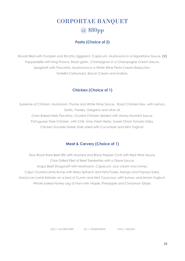# CORPORTAE BANQUET @ \$80pp

### **Pasta (Choice of 2)**

Ravioli filled with Pumpkin and Ricotta, Eggplant, Capsicum, Mushrooms in a Napolitana Sauce. **(V)** Pappardelle with King Prawns, Roast garlic, Champignon in a Champagne Cream Sauce. Spaghetti with Pancetta, Mushrooms in a White Wine Pesto Cream Reduction. Tortellini Carbonara, Bacon Cream and shallots.

### **Chicken (Choice of 1)**

Supreme of Chicken, Mushroom, Thyme and White Wine Sauce. Roast Chicken Kiev, with Lemon, Garlic, Parsley, Oregano and olive oil. Oven Baked Herb Pecorino, Crusted Chicken drizzled with Honey Mustard Sauce. Portuguese Style Chicken, with Chili, Lime, Fresh Herbs, Sweet Onion Tomato Salsa. Chicken Souvlaki Greek Style sided with Cucumber and Mint Yoghurt.

### **Meat & Carvery (Choice of 1)**

Slow Roast Rare Beef Rib with Mustard and Black Pepper Crust with Red Wine Sauce. Char Grilled Fillet of Beef Steakettes with a Diane Sauce. Angus Beef Stroganoff with Mushroom, Capsicum, sour cream and chives. Cajun Crusted Lamb Rump with Baby Spinach and Feta Puree, Mango and Papaya Salsa. Moroccan Lamb Kebabs on a bed of Cumin and Mint Couscous, with Sumac and lemon Yoghurt. Whole baked Honey Leg of Ham with Maple, Pineapple and Cinnamon Glaze.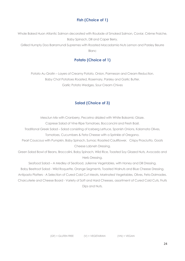### **Fish (Choice of 1)**

Whole Baked Huon Atlantic Salmon decorated with Roulade of Smoked Salmon, Caviar, Crème Fraiche, Baby Spinach, Dill and Caper Berry.

Grilled Humpty Doo Barramundi Supremes with Roasted Macadamia Nuts Lemon and Parsley Beurre Blanc

### **Potato (Choice of 1)**

Potato Au Gratin – Layers of Creamy Potato, Onion, Parmesan and Cream Reduction. Baby Chat Potatoes Roasted, Rosemary, Parsley and Garlic Butter. Garlic Potato Wedges, Sour Cream Chives

### **Salad (Choice of 3)**

Mesclun Mix with Cranberry, Pecorino drizzled with White Balsamic Glaze.

Caprese Salad of Vine Ripe Tomatoes, Bocconcini and Fresh Basil.

Traditional Greek Salad – Salad consisting of Iceberg Lettuce, Spanish Onions, Kalamata Olives,

Tomatoes, Cucumbers & Feta Cheese with a Sprinkle of Oregano.

Pearl Couscous with Pumpkin, Baby Spinach, Sumac Roasted Cauliflower, Crispy Prosciutto, Goats Cheese Labneh Dressing.

Green Salad Bowl of Beans, Broccolini, Baby Spinach, Wild Rice, Toasted Soy Glazed Nuts, Avocado and Herb Dressing.

Seafood Salad – A Medley of Seafood, Julienne Vegetables, with Honey and Dill Dressing. Baby Beetroot Salad - Wild Roquette, Orange Segments, Toasted Walnuts and Blue Cheese Dressing. Antipasto Platters - A Selection of Cured Cold Cut Meats, Marinated Vegetables, Olives, Feta Dolmades. Charcuterie and Cheese Board - Variety of Soft and Hard Cheeses, assortment of Cured Cold Cuts, Fruits Dips and Nuts.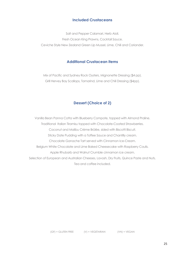### **Included Crustaceans**

Salt and Pepper Calamari, Herb Aioli. Fresh Ocean King Prawns, Cocktail Sauce. Ceviche Style New Zealand Green Lip Mussel, Lime, Chili and Coriander.

### **Additional Crustacean items**

Mix of Pacific and Sydney Rock Oysters, Mignonette Dressing (\$4 pp). Grill Hervey Bay Scallops, Tamarind, Lime and Chili Dressing (\$4pp).

### **Dessert (Choice of 2)**

Vanilla Bean Panna Cotta with Blueberry Compote, topped with Almond Praline. Traditional Italian Tiramisu topped with Chocolate-Coated Strawberries. Coconut and Malibu Crème Brûlée, sided with Biscotti Biscuit. Sticky Date Pudding with a Toffee Sauce and Chantilly cream. Chocolate Ganache Tart served with Cinnamon Ice-Cream. Belgium White Chocolate and Lime Baked Cheesecake with Raspberry Coulis. Apple Rhubarb and Walnut Crumble cinnamon ice cream. Selection of European and Australian Cheeses, Lavosh, Dry Fruits, Quince Paste and Nuts. Tea and coffee included.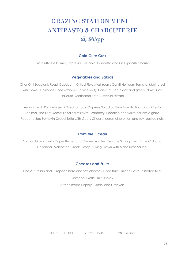# GRAZING STATION MENU - ANTIPASTO & CHARCUTERIE @ \$65pp

### **Cold Cure Cuts**

Prosciutto De Parma, Sopressa, Bresaola, Pancetta and Grill Spanish Chorizo

### **Vegetables and Salads**

Char Grill Eggplant, Roast Capsicum, Grilled Field Mushroom, Confit Heirloom Tomato, Marinated Artichokes, Dolmades (rice wrapped in vine leaf), Garlic infused black and green Olives, Grill Halloumi, Marinated Feta, Zucchini Frittata

Arancini with Pumpkin Semi Dried tomato, Caprese Salad of Plum Tomato Bocconcini Pesto Roasted Pine Nuts, Mesculin Salad mix with Cranberry, Pecorino and white balsamic glaze, Roquette Jap Pumpkin Orecchiette with Goats Cheese, caramelize onion and soy toasted nuts.

### **From the Ocean**

Salmon Gravlax with Caper Berries and Crème Fraiche, Ceviche Scallops with Lime Chili and Coriander, Marinated Greek Octopus, King Prawn with Marie Rose Sauce.

### **Cheeses and Fruits**

Fine Australian and European hard and soft cheeses, Dried fruit, Quince Paste, Assorted Nuts Seasonal Exotic Fruit Display Artisan Bread Display, Grissini and Crackers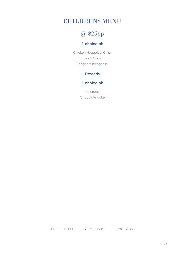### CHILDRENS MENU

# @ \$25pp

### **1 choice of:**

Chicken Nuggets & Chips Fish & Chips Spaghetti Bolognese

### **Desserts**

### **1 choice of:**

Ice cream Chocolate cake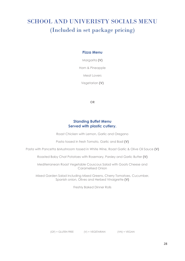# SCHOOL AND UNIVERISTY SOCIALS MENU (Included in set package pricing)

### **Pizza Menu**

Margarita **(V)**

Ham & Pineapple

Meat Lovers

Vegetarian **(V)** 

**OR** 

### **Standing Buffet Menu Served with plastic cutlery.**

Roast Chicken with Lemon, Garlic and Oregano

Pasta tossed in fresh Tomato, Garlic and Basil **(V)**

Pasta with Pancetta &Mushroom tossed in White Wine, Roast Garlic & Olive Oil Sauce **(V)**

Roasted Baby Chat Potatoes with Rosemary, Parsley and Garlic Butter **(V)**

Mediterranean Roast Vegetable Couscous Salad with Goats Cheese and Caramelised Onion

Mixed Garden Salad including Mixed Greens, Cherry Tomatoes, Cucumber, Spanish onion, Olives and Herbed Vinaigrette **(V)** 

Freshly Baked Dinner Rolls